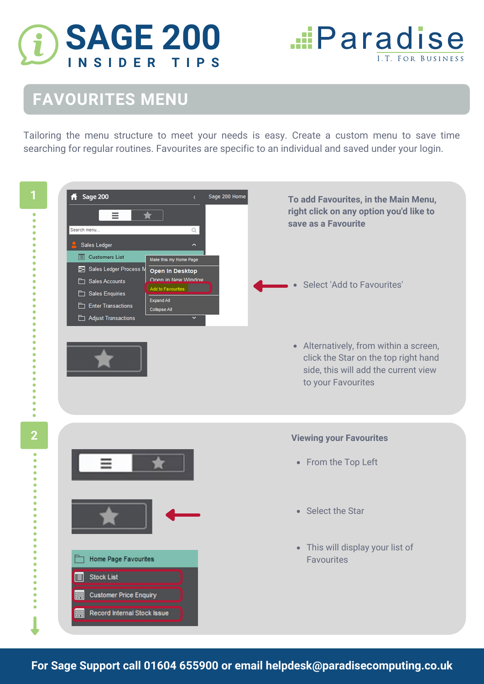

**...**Paradise **I.T. FOR BUSINES** 

## **FAVOURITES MENU**

Tailoring the menu structure to meet your needs is easy. Create a custom menu to save time searching for regular routines. Favourites are specific to an individual and saved under your login.



**For Sage Support call 01604 655900 or email helpdesk@paradisecomputing.co.uk**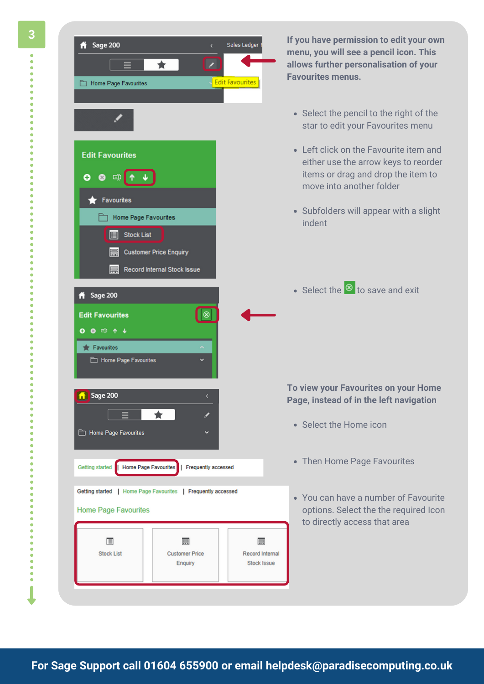

**If you have permission to edit your own menu, you will see a pencil icon. This allows further personalisation of your Favourites menus.**

- Select the pencil to the right of the star to edit your Favourites menu
- Left click on the Favourite item and either use the arrow keys to reorder items or drag and drop the item to move into another folder
- Subfolders will appear with a slight indent
- Select the  $\circledast$  to save and exit

## **To view your Favourites on your Home Page, instead of in the left navigation**

- Select the Home icon
- Then Home Page Favourites
- You can have a number of Favourite options. Select the the required Icon to directly access that area